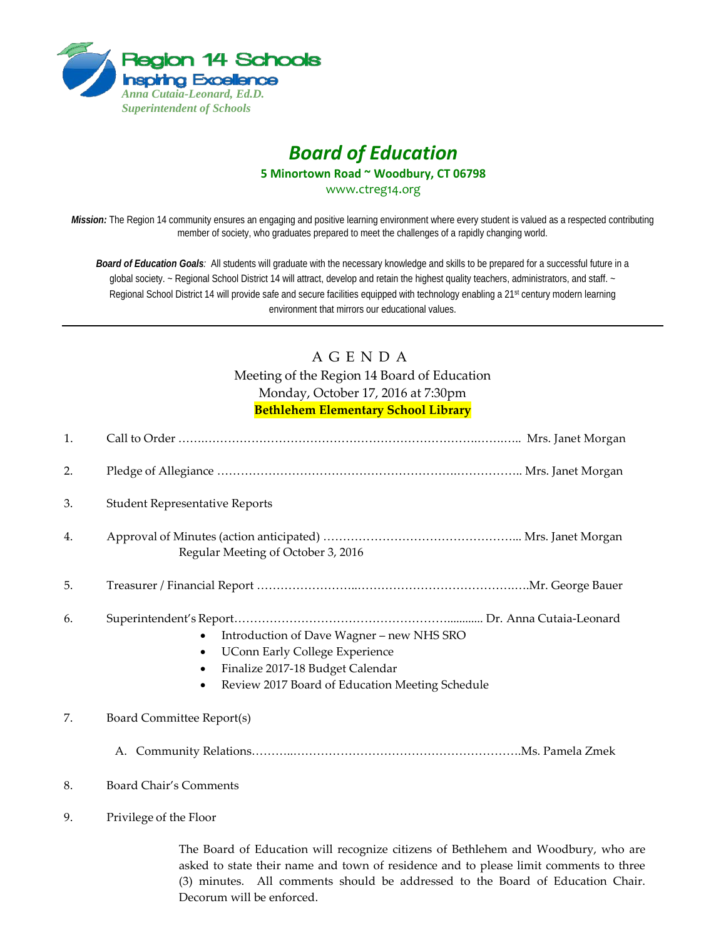

# *Board of Education* **5 Minortown Road ~ Woodbury, CT 06798**

[www.ctreg14.org](http://www.ctreg14.org/)

*Mission:* The Region 14 community ensures an engaging and positive learning environment where every student is valued as a respected contributing member of society, who graduates prepared to meet the challenges of a rapidly changing world.

*Board of Education Goals:* All students will graduate with the necessary knowledge and skills to be prepared for a successful future in a global society. ~ Regional School District 14 will attract, develop and retain the highest quality teachers, administrators, and staff. ~ Regional School District 14 will provide safe and secure facilities equipped with technology enabling a 21<sup>st</sup> century modern learning environment that mirrors our educational values.

# A G E N D A Meeting of the Region 14 Board of Education Monday, October 17, 2016 at 7:30pm **Bethlehem Elementary School Library**

| 1. |                                                                                                                                                                                                                                                              |
|----|--------------------------------------------------------------------------------------------------------------------------------------------------------------------------------------------------------------------------------------------------------------|
| 2. |                                                                                                                                                                                                                                                              |
| 3. | <b>Student Representative Reports</b>                                                                                                                                                                                                                        |
| 4. | Regular Meeting of October 3, 2016                                                                                                                                                                                                                           |
| 5. |                                                                                                                                                                                                                                                              |
| 6. | Introduction of Dave Wagner - new NHS SRO<br>$\bullet$<br><b>UConn Early College Experience</b><br>$\bullet$<br>Finalize 2017-18 Budget Calendar<br>$\bullet$<br>Review 2017 Board of Education Meeting Schedule<br>$\bullet$                                |
| 7. | Board Committee Report(s)                                                                                                                                                                                                                                    |
|    |                                                                                                                                                                                                                                                              |
| 8. | <b>Board Chair's Comments</b>                                                                                                                                                                                                                                |
| 9. | Privilege of the Floor                                                                                                                                                                                                                                       |
|    | The Board of Education will recognize citizens of Bethlehem and Woodbury, who are<br>asked to state their name and town of residence and to please limit comments to three<br>(3) minutes. All comments should be addressed to the Board of Education Chair. |

Decorum will be enforced.